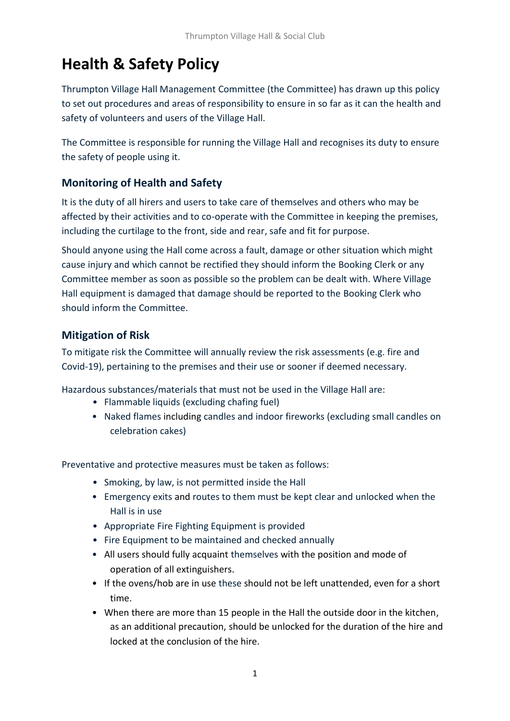# **Health & Safety Policy**

Thrumpton Village Hall Management Committee (the Committee) has drawn up this policy to set out procedures and areas of responsibility to ensure in so far as it can the health and safety of volunteers and users of the Village Hall.

The Committee is responsible for running the Village Hall and recognises its duty to ensure the safety of people using it.

# **Monitoring of Health and Safety**

It is the duty of all hirers and users to take care of themselves and others who may be affected by their activities and to co-operate with the Committee in keeping the premises, including the curtilage to the front, side and rear, safe and fit for purpose.

Should anyone using the Hall come across a fault, damage or other situation which might cause injury and which cannot be rectified they should inform the Booking Clerk or any Committee member as soon as possible so the problem can be dealt with. Where Village Hall equipment is damaged that damage should be reported to the Booking Clerk who should inform the Committee.

## **Mitigation of Risk**

To mitigate risk the Committee will annually review the risk assessments (e.g. fire and Covid-19), pertaining to the premises and their use or sooner if deemed necessary.

Hazardous substances/materials that must not be used in the Village Hall are:

- Flammable liquids (excluding chafing fuel)
- Naked flames including candles and indoor fireworks (excluding small candles on celebration cakes)

Preventative and protective measures must be taken as follows:

- Smoking, by law, is not permitted inside the Hall
- Emergency exits and routes to them must be kept clear and unlocked when the Hall is in use
- Appropriate Fire Fighting Equipment is provided
- Fire Equipment to be maintained and checked annually
- All users should fully acquaint themselves with the position and mode of operation of all extinguishers.
- If the ovens/hob are in use these should not be left unattended, even for a short time.
- When there are more than 15 people in the Hall the outside door in the kitchen, as an additional precaution, should be unlocked for the duration of the hire and locked at the conclusion of the hire.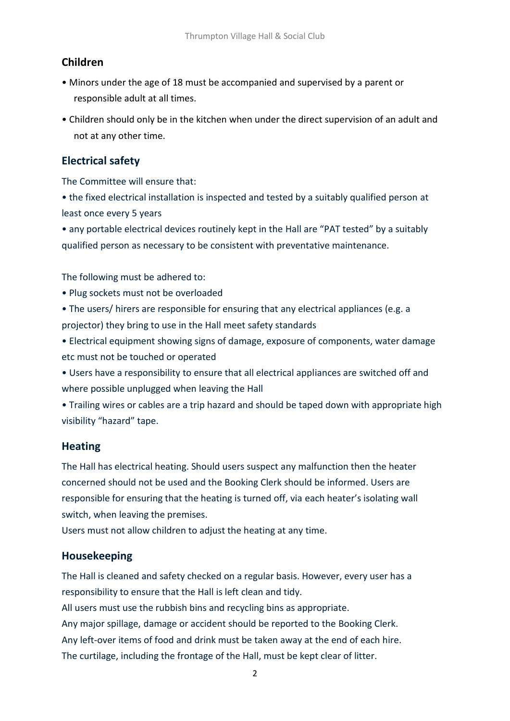# **Children**

- Minors under the age of 18 must be accompanied and supervised by a parent or responsible adult at all times.
- Children should only be in the kitchen when under the direct supervision of an adult and not at any other time.

## **Electrical safety**

The Committee will ensure that:

• the fixed electrical installation is inspected and tested by a suitably qualified person at least once every 5 years

• any portable electrical devices routinely kept in the Hall are "PAT tested" by a suitably qualified person as necessary to be consistent with preventative maintenance.

The following must be adhered to:

- Plug sockets must not be overloaded
- The users/ hirers are responsible for ensuring that any electrical appliances (e.g. a projector) they bring to use in the Hall meet safety standards
- Electrical equipment showing signs of damage, exposure of components, water damage etc must not be touched or operated
- Users have a responsibility to ensure that all electrical appliances are switched off and where possible unplugged when leaving the Hall
- Trailing wires or cables are a trip hazard and should be taped down with appropriate high visibility "hazard" tape.

## **Heating**

The Hall has electrical heating. Should users suspect any malfunction then the heater concerned should not be used and the Booking Clerk should be informed. Users are responsible for ensuring that the heating is turned off, via each heater's isolating wall switch, when leaving the premises.

Users must not allow children to adjust the heating at any time.

#### **Housekeeping**

The Hall is cleaned and safety checked on a regular basis. However, every user has a responsibility to ensure that the Hall is left clean and tidy.

All users must use the rubbish bins and recycling bins as appropriate.

Any major spillage, damage or accident should be reported to the Booking Clerk. Any left-over items of food and drink must be taken away at the end of each hire. The curtilage, including the frontage of the Hall, must be kept clear of litter.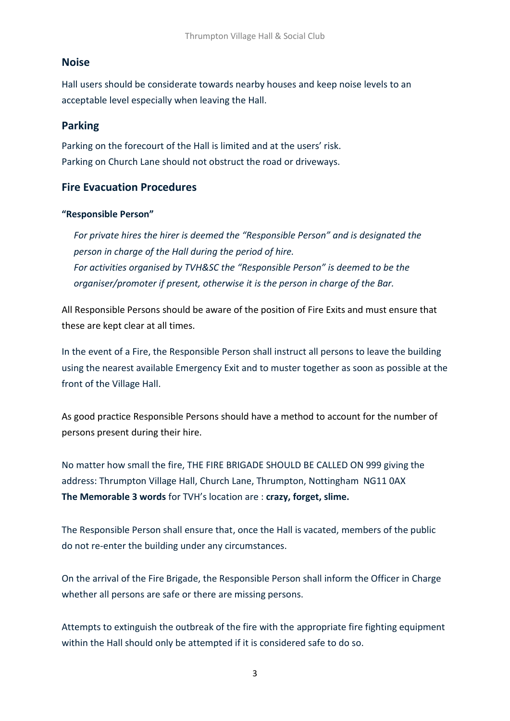## **Noise**

Hall users should be considerate towards nearby houses and keep noise levels to an acceptable level especially when leaving the Hall.

## **Parking**

Parking on the forecourt of the Hall is limited and at the users' risk. Parking on Church Lane should not obstruct the road or driveways.

## **Fire Evacuation Procedures**

#### **"Responsible Person"**

*For private hires the hirer is deemed the "Responsible Person" and is designated the person in charge of the Hall during the period of hire. For activities organised by TVH&SC the "Responsible Person" is deemed to be the organiser/promoter if present, otherwise it is the person in charge of the Bar.*

All Responsible Persons should be aware of the position of Fire Exits and must ensure that these are kept clear at all times.

In the event of a Fire, the Responsible Person shall instruct all persons to leave the building using the nearest available Emergency Exit and to muster together as soon as possible at the front of the Village Hall.

As good practice Responsible Persons should have a method to account for the number of persons present during their hire.

No matter how small the fire, THE FIRE BRIGADE SHOULD BE CALLED ON 999 giving the address: Thrumpton Village Hall, Church Lane, Thrumpton, Nottingham NG11 0AX **The Memorable 3 words** for TVH's location are : **crazy, forget, slime.**

The Responsible Person shall ensure that, once the Hall is vacated, members of the public do not re-enter the building under any circumstances.

On the arrival of the Fire Brigade, the Responsible Person shall inform the Officer in Charge whether all persons are safe or there are missing persons.

Attempts to extinguish the outbreak of the fire with the appropriate fire fighting equipment within the Hall should only be attempted if it is considered safe to do so.